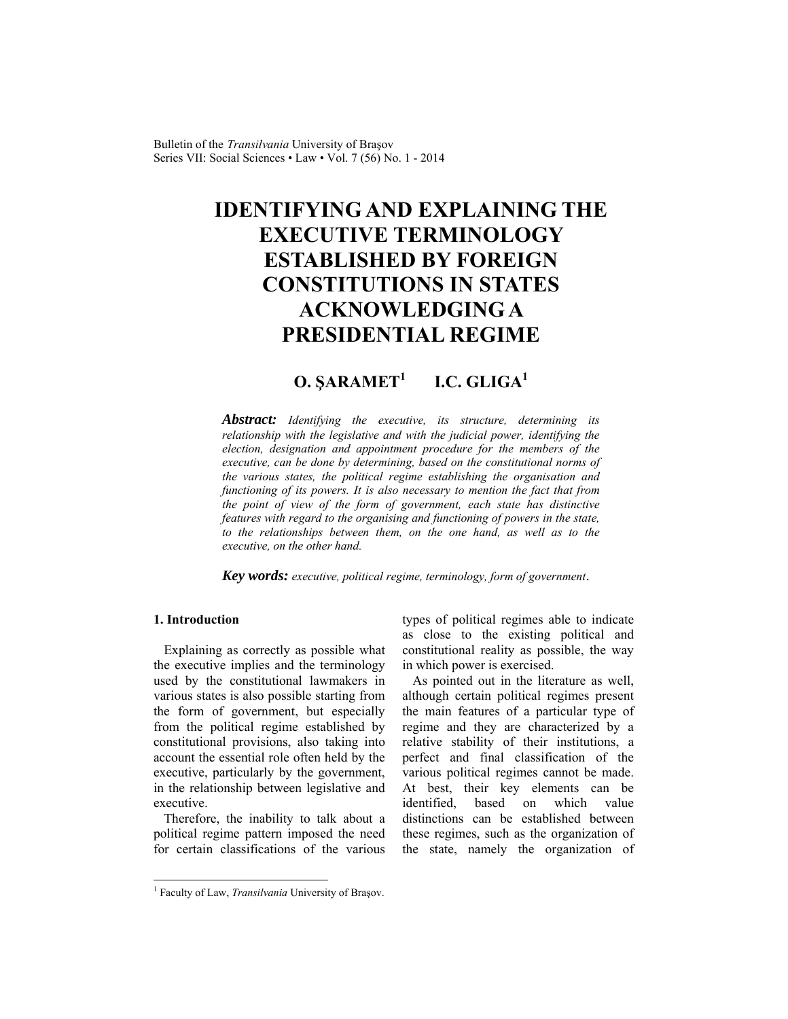Bulletin of the *Transilvania* University of Braşov Series VII: Social Sciences • Law • Vol. 7 (56) No. 1 - 2014

# **IDENTIFYING AND EXPLAINING THE EXECUTIVE TERMINOLOGY ESTABLISHED BY FOREIGN CONSTITUTIONS IN STATES ACKNOWLEDGING A PRESIDENTIAL REGIME**

#### **O. ŞARAMET<sup>1</sup>**  $I.C. GLIGA<sup>1</sup>$

*Abstract: Identifying the executive, its structure, determining its relationship with the legislative and with the judicial power, identifying the election, designation and appointment procedure for the members of the executive, can be done by determining, based on the constitutional norms of the various states, the political regime establishing the organisation and functioning of its powers. It is also necessary to mention the fact that from the point of view of the form of government, each state has distinctive features with regard to the organising and functioning of powers in the state, to the relationships between them, on the one hand, as well as to the executive, on the other hand.* 

*Key words: executive, political regime, terminology, form of government*.

## **1. Introduction**

l

Explaining as correctly as possible what the executive implies and the terminology used by the constitutional lawmakers in various states is also possible starting from the form of government, but especially from the political regime established by constitutional provisions, also taking into account the essential role often held by the executive, particularly by the government, in the relationship between legislative and executive.

Therefore, the inability to talk about a political regime pattern imposed the need for certain classifications of the various types of political regimes able to indicate as close to the existing political and constitutional reality as possible, the way in which power is exercised.

As pointed out in the literature as well, although certain political regimes present the main features of a particular type of regime and they are characterized by a relative stability of their institutions, a perfect and final classification of the various political regimes cannot be made. At best, their key elements can be identified, based on which value distinctions can be established between these regimes, such as the organization of the state, namely the organization of

<sup>&</sup>lt;sup>1</sup> Faculty of Law, *Transilvania* University of Brașov.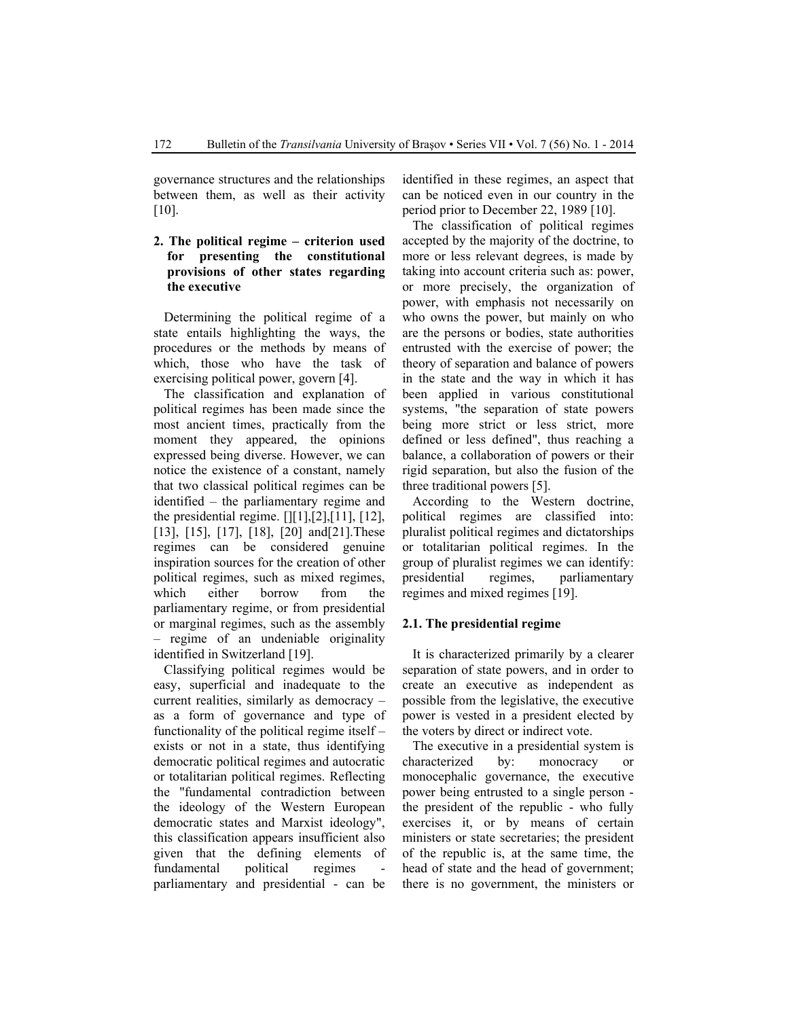governance structures and the relationships between them, as well as their activity [10].

## **2. The political regime – criterion used for presenting the constitutional provisions of other states regarding the executive**

Determining the political regime of a state entails highlighting the ways, the procedures or the methods by means of which, those who have the task of exercising political power, govern [4].

The classification and explanation of political regimes has been made since the most ancient times, practically from the moment they appeared, the opinions expressed being diverse. However, we can notice the existence of a constant, namely that two classical political regimes can be identified – the parliamentary regime and the presidential regime.  $[$ [[1],[2],[11], [12], [13], [15], [17], [18], [20] and [21]. These regimes can be considered genuine inspiration sources for the creation of other political regimes, such as mixed regimes, which either borrow from the parliamentary regime, or from presidential or marginal regimes, such as the assembly – regime of an undeniable originality identified in Switzerland [19].

Classifying political regimes would be easy, superficial and inadequate to the current realities, similarly as democracy – as a form of governance and type of functionality of the political regime itself – exists or not in a state, thus identifying democratic political regimes and autocratic or totalitarian political regimes. Reflecting the "fundamental contradiction between the ideology of the Western European democratic states and Marxist ideology", this classification appears insufficient also given that the defining elements of fundamental political regimes parliamentary and presidential - can be identified in these regimes, an aspect that can be noticed even in our country in the period prior to December 22, 1989 [10].

The classification of political regimes accepted by the majority of the doctrine, to more or less relevant degrees, is made by taking into account criteria such as: power, or more precisely, the organization of power, with emphasis not necessarily on who owns the power, but mainly on who are the persons or bodies, state authorities entrusted with the exercise of power; the theory of separation and balance of powers in the state and the way in which it has been applied in various constitutional systems, "the separation of state powers being more strict or less strict, more defined or less defined", thus reaching a balance, a collaboration of powers or their rigid separation, but also the fusion of the three traditional powers [5].

According to the Western doctrine, political regimes are classified into: pluralist political regimes and dictatorships or totalitarian political regimes. In the group of pluralist regimes we can identify: presidential regimes, parliamentary regimes and mixed regimes [19].

### **2.1. The presidential regime**

It is characterized primarily by a clearer separation of state powers, and in order to create an executive as independent as possible from the legislative, the executive power is vested in a president elected by the voters by direct or indirect vote.

The executive in a presidential system is characterized by: monocracy or monocephalic governance, the executive power being entrusted to a single person the president of the republic - who fully exercises it, or by means of certain ministers or state secretaries; the president of the republic is, at the same time, the head of state and the head of government; there is no government, the ministers or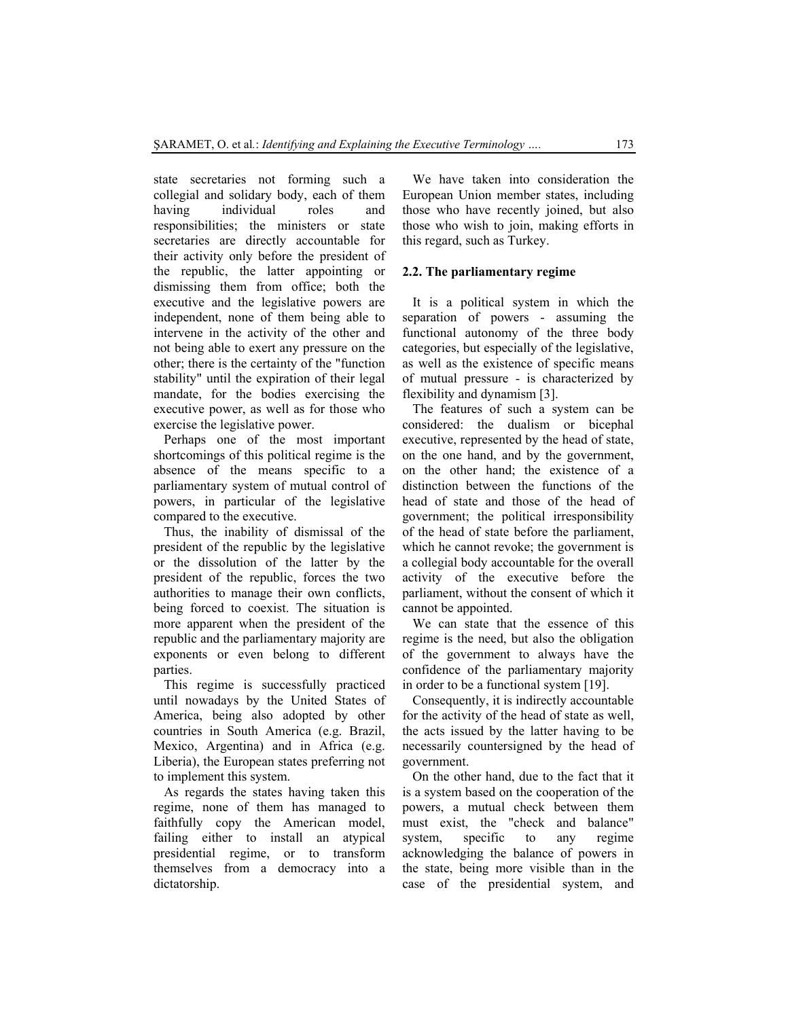state secretaries not forming such a collegial and solidary body, each of them having individual roles and responsibilities; the ministers or state secretaries are directly accountable for their activity only before the president of the republic, the latter appointing or dismissing them from office; both the executive and the legislative powers are independent, none of them being able to intervene in the activity of the other and not being able to exert any pressure on the other; there is the certainty of the "function stability" until the expiration of their legal mandate, for the bodies exercising the executive power, as well as for those who exercise the legislative power.

Perhaps one of the most important shortcomings of this political regime is the absence of the means specific to a parliamentary system of mutual control of powers, in particular of the legislative compared to the executive.

Thus, the inability of dismissal of the president of the republic by the legislative or the dissolution of the latter by the president of the republic, forces the two authorities to manage their own conflicts, being forced to coexist. The situation is more apparent when the president of the republic and the parliamentary majority are exponents or even belong to different parties.

This regime is successfully practiced until nowadays by the United States of America, being also adopted by other countries in South America (e.g. Brazil, Mexico, Argentina) and in Africa (e.g. Liberia), the European states preferring not to implement this system.

As regards the states having taken this regime, none of them has managed to faithfully copy the American model, failing either to install an atypical presidential regime, or to transform themselves from a democracy into a dictatorship.

We have taken into consideration the European Union member states, including those who have recently joined, but also those who wish to join, making efforts in this regard, such as Turkey.

#### **2.2. The parliamentary regime**

It is a political system in which the separation of powers - assuming the functional autonomy of the three body categories, but especially of the legislative, as well as the existence of specific means of mutual pressure - is characterized by flexibility and dynamism [3].

The features of such a system can be considered: the dualism or bicephal executive, represented by the head of state, on the one hand, and by the government, on the other hand; the existence of a distinction between the functions of the head of state and those of the head of government; the political irresponsibility of the head of state before the parliament, which he cannot revoke; the government is a collegial body accountable for the overall activity of the executive before the parliament, without the consent of which it cannot be appointed.

We can state that the essence of this regime is the need, but also the obligation of the government to always have the confidence of the parliamentary majority in order to be a functional system [19].

Consequently, it is indirectly accountable for the activity of the head of state as well, the acts issued by the latter having to be necessarily countersigned by the head of government.

On the other hand, due to the fact that it is a system based on the cooperation of the powers, a mutual check between them must exist, the "check and balance" system, specific to any regime acknowledging the balance of powers in the state, being more visible than in the case of the presidential system, and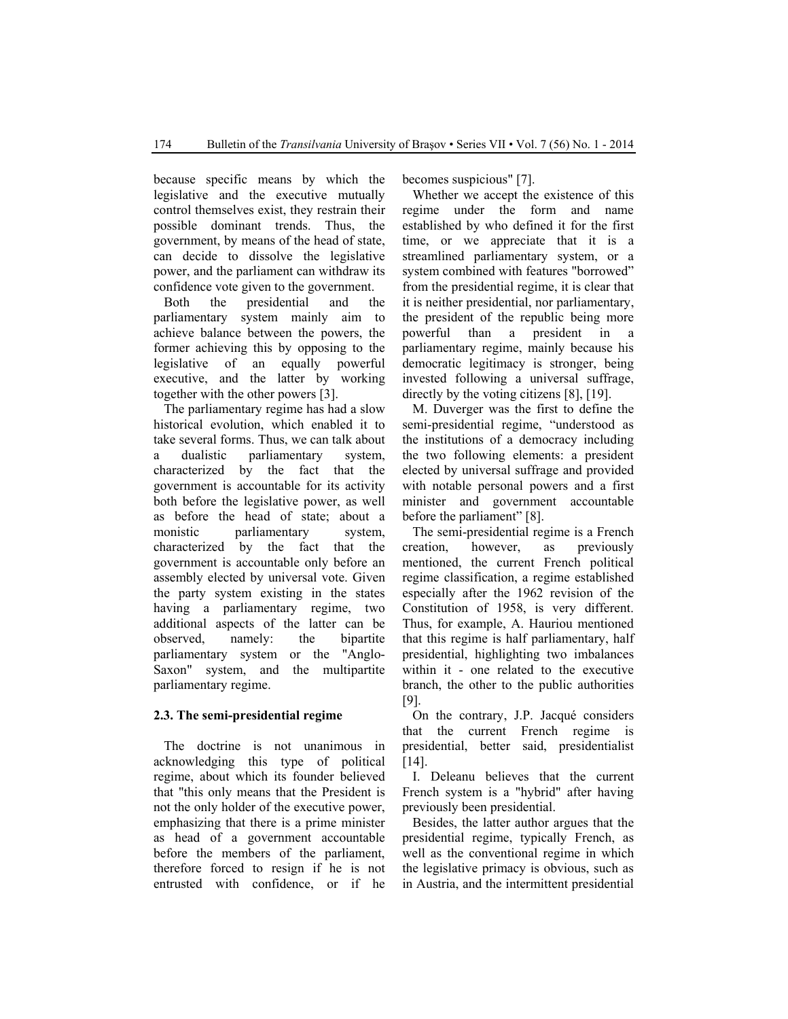because specific means by which the legislative and the executive mutually control themselves exist, they restrain their possible dominant trends. Thus, the government, by means of the head of state, can decide to dissolve the legislative power, and the parliament can withdraw its confidence vote given to the government.

Both the presidential and the parliamentary system mainly aim to achieve balance between the powers, the former achieving this by opposing to the legislative of an equally powerful executive, and the latter by working together with the other powers [3].

The parliamentary regime has had a slow historical evolution, which enabled it to take several forms. Thus, we can talk about a dualistic parliamentary system, characterized by the fact that the government is accountable for its activity both before the legislative power, as well as before the head of state; about a monistic parliamentary system, characterized by the fact that the government is accountable only before an assembly elected by universal vote. Given the party system existing in the states having a parliamentary regime, two additional aspects of the latter can be observed, namely: the bipartite parliamentary system or the "Anglo-Saxon" system, and the multipartite parliamentary regime.

### **2.3. The semi-presidential regime**

The doctrine is not unanimous in acknowledging this type of political regime, about which its founder believed that "this only means that the President is not the only holder of the executive power, emphasizing that there is a prime minister as head of a government accountable before the members of the parliament, therefore forced to resign if he is not entrusted with confidence, or if he becomes suspicious" [7].

Whether we accept the existence of this regime under the form and name established by who defined it for the first time, or we appreciate that it is a streamlined parliamentary system, or a system combined with features "borrowed" from the presidential regime, it is clear that it is neither presidential, nor parliamentary, the president of the republic being more powerful than a president in a parliamentary regime, mainly because his democratic legitimacy is stronger, being invested following a universal suffrage, directly by the voting citizens [8], [19].

M. Duverger was the first to define the semi-presidential regime, "understood as the institutions of a democracy including the two following elements: a president elected by universal suffrage and provided with notable personal powers and a first minister and government accountable before the parliament" [8].

The semi-presidential regime is a French creation, however, as previously mentioned, the current French political regime classification, a regime established especially after the 1962 revision of the Constitution of 1958, is very different. Thus, for example, A. Hauriou mentioned that this regime is half parliamentary, half presidential, highlighting two imbalances within it - one related to the executive branch, the other to the public authorities [9].

On the contrary, J.P. Jacqué considers that the current French regime is presidential, better said, presidentialist [14].

I. Deleanu believes that the current French system is a "hybrid" after having previously been presidential.

Besides, the latter author argues that the presidential regime, typically French, as well as the conventional regime in which the legislative primacy is obvious, such as in Austria, and the intermittent presidential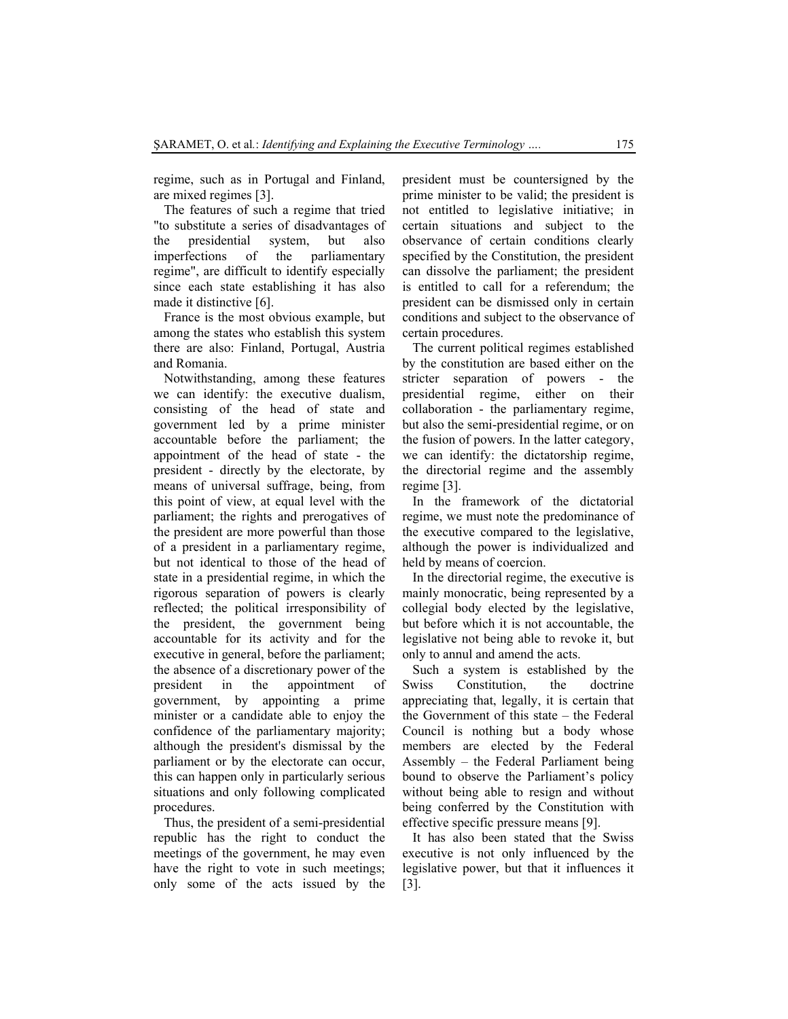regime, such as in Portugal and Finland, are mixed regimes [3].

The features of such a regime that tried "to substitute a series of disadvantages of the presidential system, but also imperfections of the parliamentary regime", are difficult to identify especially since each state establishing it has also made it distinctive [6].

France is the most obvious example, but among the states who establish this system there are also: Finland, Portugal, Austria and Romania.

Notwithstanding, among these features we can identify: the executive dualism, consisting of the head of state and government led by a prime minister accountable before the parliament; the appointment of the head of state - the president - directly by the electorate, by means of universal suffrage, being, from this point of view, at equal level with the parliament; the rights and prerogatives of the president are more powerful than those of a president in a parliamentary regime, but not identical to those of the head of state in a presidential regime, in which the rigorous separation of powers is clearly reflected; the political irresponsibility of the president, the government being accountable for its activity and for the executive in general, before the parliament; the absence of a discretionary power of the president in the appointment of government, by appointing a prime minister or a candidate able to enjoy the confidence of the parliamentary majority; although the president's dismissal by the parliament or by the electorate can occur, this can happen only in particularly serious situations and only following complicated procedures.

Thus, the president of a semi-presidential republic has the right to conduct the meetings of the government, he may even have the right to vote in such meetings; only some of the acts issued by the president must be countersigned by the prime minister to be valid; the president is not entitled to legislative initiative; in certain situations and subject to the observance of certain conditions clearly specified by the Constitution, the president can dissolve the parliament; the president is entitled to call for a referendum; the president can be dismissed only in certain conditions and subject to the observance of certain procedures.

The current political regimes established by the constitution are based either on the stricter separation of powers - the presidential regime, either on their collaboration - the parliamentary regime, but also the semi-presidential regime, or on the fusion of powers. In the latter category, we can identify: the dictatorship regime, the directorial regime and the assembly regime [3].

In the framework of the dictatorial regime, we must note the predominance of the executive compared to the legislative, although the power is individualized and held by means of coercion.

In the directorial regime, the executive is mainly monocratic, being represented by a collegial body elected by the legislative, but before which it is not accountable, the legislative not being able to revoke it, but only to annul and amend the acts.

Such a system is established by the Swiss Constitution, the doctrine appreciating that, legally, it is certain that the Government of this state – the Federal Council is nothing but a body whose members are elected by the Federal Assembly – the Federal Parliament being bound to observe the Parliament's policy without being able to resign and without being conferred by the Constitution with effective specific pressure means [9].

It has also been stated that the Swiss executive is not only influenced by the legislative power, but that it influences it [3].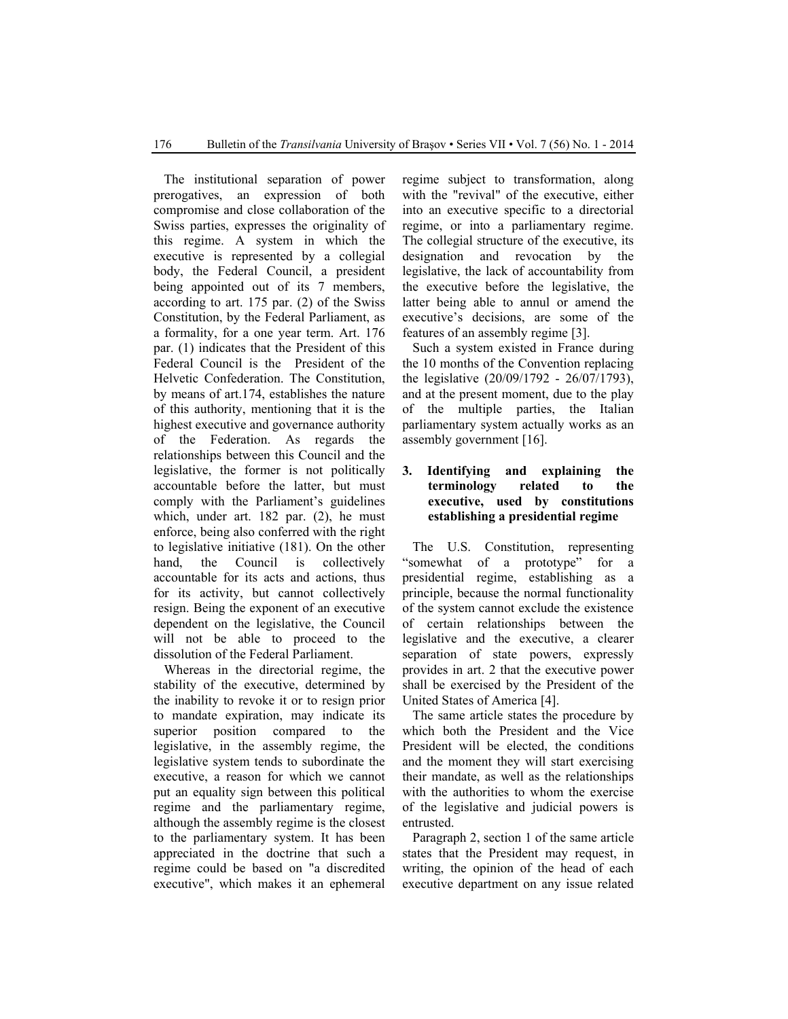The institutional separation of power prerogatives, an expression of both compromise and close collaboration of the Swiss parties, expresses the originality of this regime. A system in which the executive is represented by a collegial body, the Federal Council, a president being appointed out of its 7 members, according to art. 175 par. (2) of the Swiss Constitution, by the Federal Parliament, as a formality, for a one year term. Art. 176 par. (1) indicates that the President of this Federal Council is the President of the Helvetic Confederation. The Constitution, by means of art.174, establishes the nature of this authority, mentioning that it is the highest executive and governance authority of the Federation. As regards the relationships between this Council and the legislative, the former is not politically accountable before the latter, but must comply with the Parliament's guidelines which, under art. 182 par. (2), he must enforce, being also conferred with the right to legislative initiative (181). On the other hand, the Council is collectively accountable for its acts and actions, thus for its activity, but cannot collectively resign. Being the exponent of an executive dependent on the legislative, the Council will not be able to proceed to the dissolution of the Federal Parliament.

Whereas in the directorial regime, the stability of the executive, determined by the inability to revoke it or to resign prior to mandate expiration, may indicate its superior position compared to the legislative, in the assembly regime, the legislative system tends to subordinate the executive, a reason for which we cannot put an equality sign between this political regime and the parliamentary regime, although the assembly regime is the closest to the parliamentary system. It has been appreciated in the doctrine that such a regime could be based on "a discredited executive", which makes it an ephemeral regime subject to transformation, along with the "revival" of the executive, either into an executive specific to a directorial regime, or into a parliamentary regime. The collegial structure of the executive, its designation and revocation by the legislative, the lack of accountability from the executive before the legislative, the latter being able to annul or amend the executive's decisions, are some of the features of an assembly regime [3].

Such a system existed in France during the 10 months of the Convention replacing the legislative (20/09/1792 - 26/07/1793), and at the present moment, due to the play of the multiple parties, the Italian parliamentary system actually works as an assembly government [16].

## **3. Identifying and explaining the terminology related to the executive, used by constitutions establishing a presidential regime**

The U.S. Constitution, representing "somewhat of a prototype" for a presidential regime, establishing as a principle, because the normal functionality of the system cannot exclude the existence of certain relationships between the legislative and the executive, a clearer separation of state powers, expressly provides in art. 2 that the executive power shall be exercised by the President of the United States of America [4].

The same article states the procedure by which both the President and the Vice President will be elected, the conditions and the moment they will start exercising their mandate, as well as the relationships with the authorities to whom the exercise of the legislative and judicial powers is entrusted.

Paragraph 2, section 1 of the same article states that the President may request, in writing, the opinion of the head of each executive department on any issue related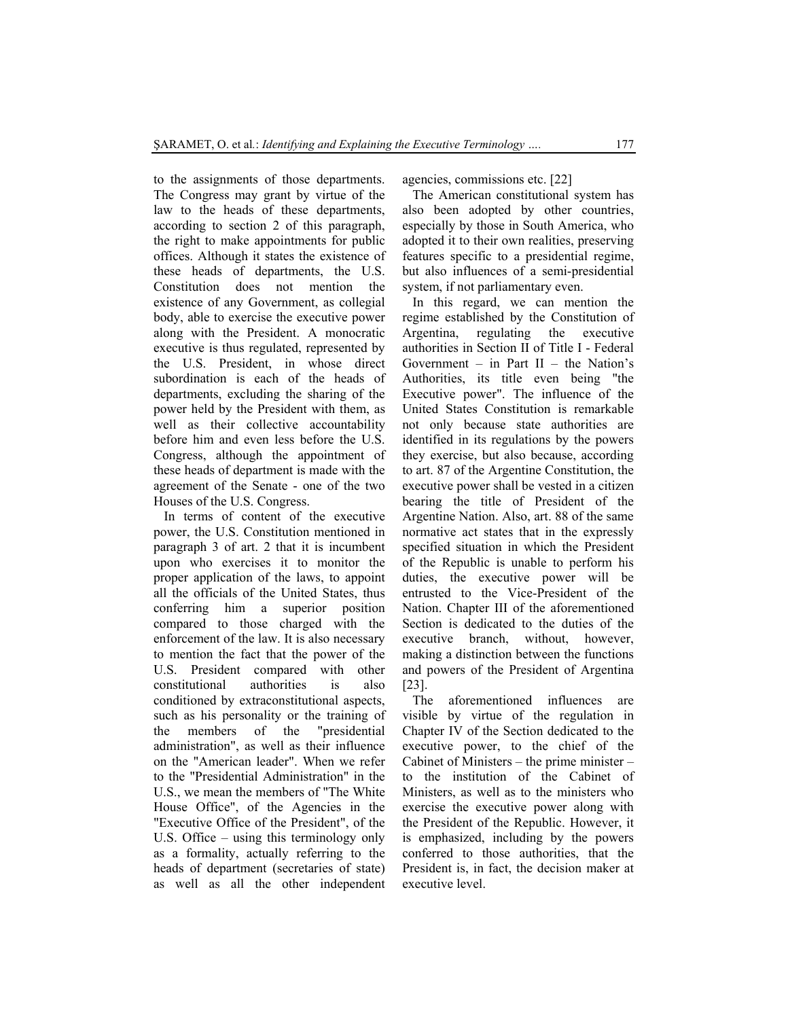to the assignments of those departments. The Congress may grant by virtue of the law to the heads of these departments, according to section 2 of this paragraph, the right to make appointments for public offices. Although it states the existence of these heads of departments, the U.S. Constitution does not mention the existence of any Government, as collegial body, able to exercise the executive power along with the President. A monocratic executive is thus regulated, represented by the U.S. President, in whose direct subordination is each of the heads of departments, excluding the sharing of the power held by the President with them, as well as their collective accountability before him and even less before the U.S. Congress, although the appointment of these heads of department is made with the agreement of the Senate - one of the two Houses of the U.S. Congress.

In terms of content of the executive power, the U.S. Constitution mentioned in paragraph 3 of art. 2 that it is incumbent upon who exercises it to monitor the proper application of the laws, to appoint all the officials of the United States, thus conferring him a superior position compared to those charged with the enforcement of the law. It is also necessary to mention the fact that the power of the U.S. President compared with other constitutional authorities is also conditioned by extraconstitutional aspects, such as his personality or the training of the members of the "presidential administration", as well as their influence on the "American leader". When we refer to the "Presidential Administration" in the U.S., we mean the members of "The White House Office", of the Agencies in the "Executive Office of the President", of the U.S. Office – using this terminology only as a formality, actually referring to the heads of department (secretaries of state) as well as all the other independent agencies, commissions etc. [22]

The American constitutional system has also been adopted by other countries, especially by those in South America, who adopted it to their own realities, preserving features specific to a presidential regime, but also influences of a semi-presidential system, if not parliamentary even.

In this regard, we can mention the regime established by the Constitution of Argentina, regulating the executive authorities in Section II of Title I - Federal Government – in Part  $II$  – the Nation's Authorities, its title even being "the Executive power". The influence of the United States Constitution is remarkable not only because state authorities are identified in its regulations by the powers they exercise, but also because, according to art. 87 of the Argentine Constitution, the executive power shall be vested in a citizen bearing the title of President of the Argentine Nation. Also, art. 88 of the same normative act states that in the expressly specified situation in which the President of the Republic is unable to perform his duties, the executive power will be entrusted to the Vice-President of the Nation. Chapter III of the aforementioned Section is dedicated to the duties of the executive branch, without, however, making a distinction between the functions and powers of the President of Argentina [23].

The aforementioned influences are visible by virtue of the regulation in Chapter IV of the Section dedicated to the executive power, to the chief of the Cabinet of Ministers – the prime minister – to the institution of the Cabinet of Ministers, as well as to the ministers who exercise the executive power along with the President of the Republic. However, it is emphasized, including by the powers conferred to those authorities, that the President is, in fact, the decision maker at executive level.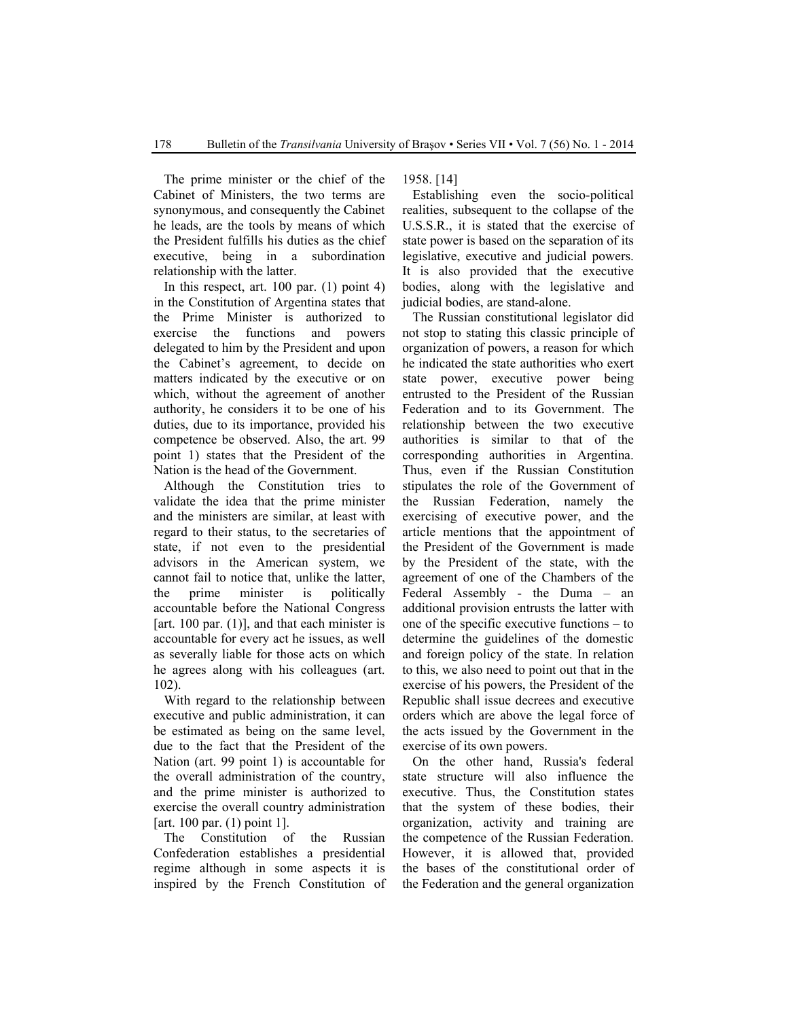The prime minister or the chief of the Cabinet of Ministers, the two terms are synonymous, and consequently the Cabinet he leads, are the tools by means of which the President fulfills his duties as the chief executive, being in a subordination relationship with the latter.

In this respect, art. 100 par. (1) point 4) in the Constitution of Argentina states that the Prime Minister is authorized to exercise the functions and powers delegated to him by the President and upon the Cabinet's agreement, to decide on matters indicated by the executive or on which, without the agreement of another authority, he considers it to be one of his duties, due to its importance, provided his competence be observed. Also, the art. 99 point 1) states that the President of the Nation is the head of the Government.

Although the Constitution tries to validate the idea that the prime minister and the ministers are similar, at least with regard to their status, to the secretaries of state, if not even to the presidential advisors in the American system, we cannot fail to notice that, unlike the latter, the prime minister is politically accountable before the National Congress [art. 100 par.  $(1)$ ], and that each minister is accountable for every act he issues, as well as severally liable for those acts on which he agrees along with his colleagues (art. 102).

With regard to the relationship between executive and public administration, it can be estimated as being on the same level, due to the fact that the President of the Nation (art. 99 point 1) is accountable for the overall administration of the country, and the prime minister is authorized to exercise the overall country administration [art. 100 par. (1) point 1].

The Constitution of the Russian Confederation establishes a presidential regime although in some aspects it is inspired by the French Constitution of 1958. [14]

Establishing even the socio-political realities, subsequent to the collapse of the U.S.S.R., it is stated that the exercise of state power is based on the separation of its legislative, executive and judicial powers. It is also provided that the executive bodies, along with the legislative and judicial bodies, are stand-alone.

The Russian constitutional legislator did not stop to stating this classic principle of organization of powers, a reason for which he indicated the state authorities who exert state power, executive power being entrusted to the President of the Russian Federation and to its Government. The relationship between the two executive authorities is similar to that of the corresponding authorities in Argentina. Thus, even if the Russian Constitution stipulates the role of the Government of the Russian Federation, namely the exercising of executive power, and the article mentions that the appointment of the President of the Government is made by the President of the state, with the agreement of one of the Chambers of the Federal Assembly - the Duma – an additional provision entrusts the latter with one of the specific executive functions – to determine the guidelines of the domestic and foreign policy of the state. In relation to this, we also need to point out that in the exercise of his powers, the President of the Republic shall issue decrees and executive orders which are above the legal force of the acts issued by the Government in the exercise of its own powers.

On the other hand, Russia's federal state structure will also influence the executive. Thus, the Constitution states that the system of these bodies, their organization, activity and training are the competence of the Russian Federation. However, it is allowed that, provided the bases of the constitutional order of the Federation and the general organization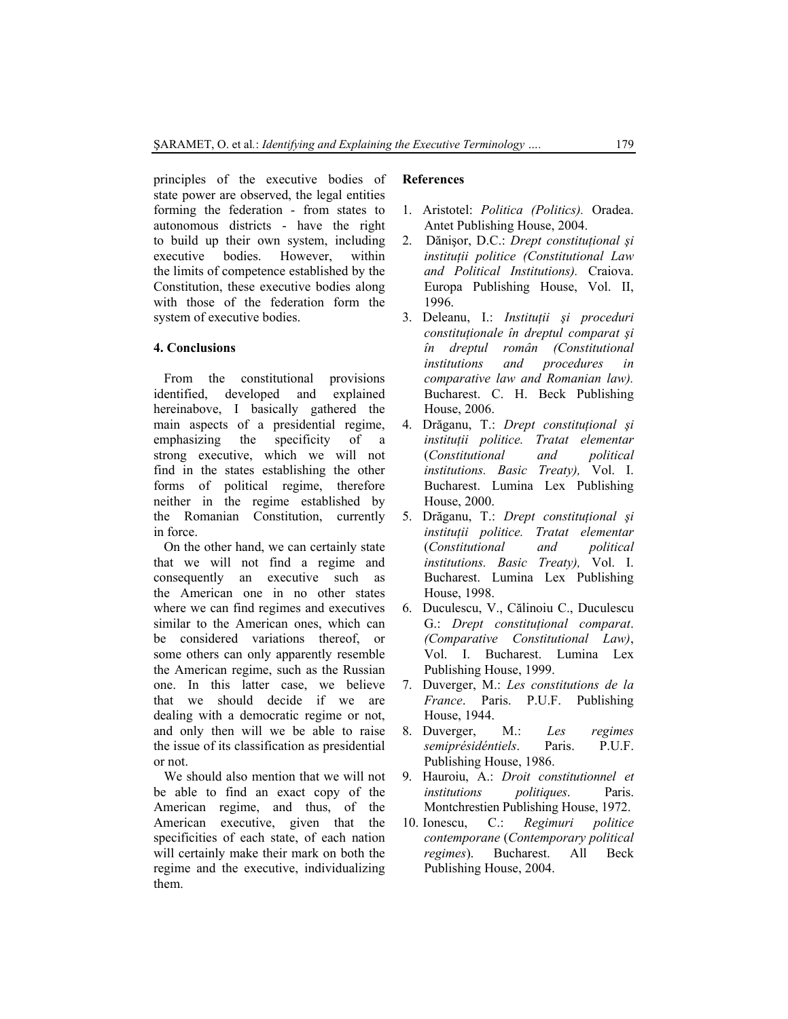principles of the executive bodies of state power are observed, the legal entities forming the federation - from states to autonomous districts - have the right to build up their own system, including executive bodies. However, within the limits of competence established by the Constitution, these executive bodies along with those of the federation form the system of executive bodies.

## **4. Conclusions**

From the constitutional provisions identified, developed and explained hereinabove, I basically gathered the main aspects of a presidential regime, emphasizing the specificity of a strong executive, which we will not find in the states establishing the other forms of political regime, therefore neither in the regime established by the Romanian Constitution, currently in force.

On the other hand, we can certainly state that we will not find a regime and consequently an executive such as the American one in no other states where we can find regimes and executives similar to the American ones, which can be considered variations thereof, or some others can only apparently resemble the American regime, such as the Russian one. In this latter case, we believe that we should decide if we are dealing with a democratic regime or not, and only then will we be able to raise the issue of its classification as presidential or not.

We should also mention that we will not be able to find an exact copy of the American regime, and thus, of the American executive, given that the specificities of each state, of each nation will certainly make their mark on both the regime and the executive, individualizing them.

## **References**

- 1. Aristotel: *Politica (Politics).* Oradea. Antet Publishing House, 2004.
- 2. Dănişor, D.C.: *Drept constituţional şi instituţii politice (Constitutional Law and Political Institutions).* Craiova. Europa Publishing House, Vol. II, 1996.
- 3. Deleanu, I.: *Instituţii şi proceduri constituţionale în dreptul comparat şi în dreptul român (Constitutional institutions and procedures in comparative law and Romanian law).* Bucharest. C. H. Beck Publishing House, 2006.
- 4. Drăganu, T.: *Drept constituţional şi instituţii politice. Tratat elementar* (*Constitutional and political institutions. Basic Treaty),* Vol. I. Bucharest. Lumina Lex Publishing House, 2000.
- 5. Drăganu, T.: *Drept constituţional şi instituţii politice. Tratat elementar* (*Constitutional and political institutions. Basic Treaty),* Vol. I. Bucharest. Lumina Lex Publishing House, 1998.
- 6. Duculescu, V., Călinoiu C., Duculescu G.: *Drept constituţional comparat*. *(Comparative Constitutional Law)*, Vol. I. Bucharest. Lumina Lex Publishing House, 1999.
- 7. Duverger, M.: *Les constitutions de la France*. Paris. P.U.F. Publishing House, 1944.
- 8. Duverger, M.: *Les regimes semiprésidéntiels*. Paris. P.U.F. Publishing House, 1986.
- 9. Hauroiu, A.: *Droit constitutionnel et institutions politiques*. Paris. Montchrestien Publishing House, 1972.
- 10. Ionescu, C.: *Regimuri politice contemporane* (*Contemporary political regimes*). Bucharest. All Beck Publishing House, 2004.